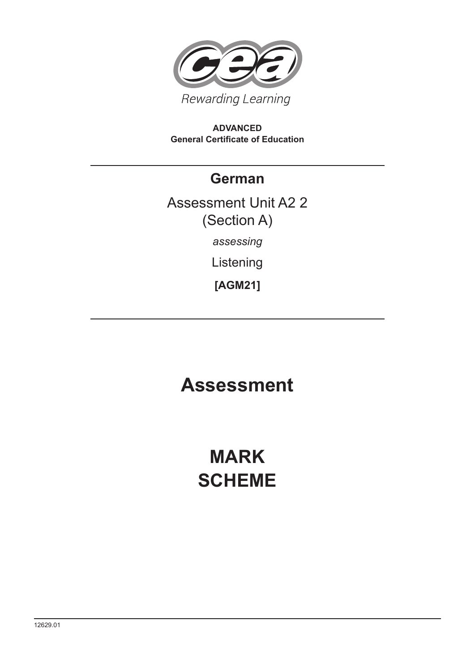

#### **ADVANCED General Certificate of Education**

### **German**

## Assessment Unit A2 2 (Section A) *assessing*

Listening

**[AGM21]**

## **Assessment**

# **MARK SCHEME**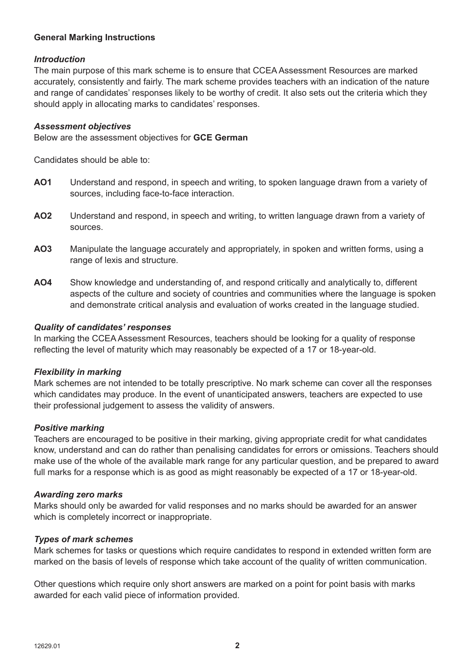#### **General Marking Instructions**

#### *Introduction*

The main purpose of this mark scheme is to ensure that CCEA Assessment Resources are marked accurately, consistently and fairly. The mark scheme provides teachers with an indication of the nature and range of candidates' responses likely to be worthy of credit. It also sets out the criteria which they should apply in allocating marks to candidates' responses.

#### *Assessment objectives*

Below are the assessment objectives for **GCE German**

Candidates should be able to:

- **AO1** Understand and respond, in speech and writing, to spoken language drawn from a variety of sources, including face-to-face interaction.
- **AO2** Understand and respond, in speech and writing, to written language drawn from a variety of sources.
- **AO3** Manipulate the language accurately and appropriately, in spoken and written forms, using a range of lexis and structure.
- **AO4** Show knowledge and understanding of, and respond critically and analytically to, different aspects of the culture and society of countries and communities where the language is spoken and demonstrate critical analysis and evaluation of works created in the language studied.

#### *Quality of candidates' responses*

In marking the CCEA Assessment Resources, teachers should be looking for a quality of response reflecting the level of maturity which may reasonably be expected of a 17 or 18-year-old.

#### *Flexibility in marking*

Mark schemes are not intended to be totally prescriptive. No mark scheme can cover all the responses which candidates may produce. In the event of unanticipated answers, teachers are expected to use their professional judgement to assess the validity of answers.

#### *Positive marking*

Teachers are encouraged to be positive in their marking, giving appropriate credit for what candidates know, understand and can do rather than penalising candidates for errors or omissions. Teachers should make use of the whole of the available mark range for any particular question, and be prepared to award full marks for a response which is as good as might reasonably be expected of a 17 or 18-year-old.

#### *Awarding zero marks*

Marks should only be awarded for valid responses and no marks should be awarded for an answer which is completely incorrect or inappropriate.

#### *Types of mark schemes*

Mark schemes for tasks or questions which require candidates to respond in extended written form are marked on the basis of levels of response which take account of the quality of written communication.

Other questions which require only short answers are marked on a point for point basis with marks awarded for each valid piece of information provided.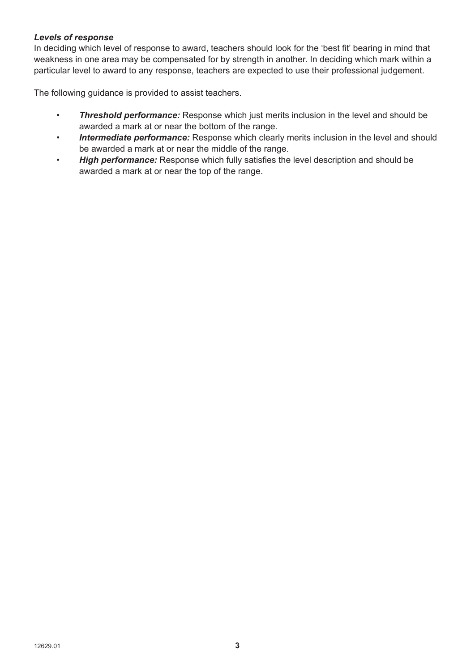#### *Levels of response*

In deciding which level of response to award, teachers should look for the 'best fit' bearing in mind that weakness in one area may be compensated for by strength in another. In deciding which mark within a particular level to award to any response, teachers are expected to use their professional judgement.

The following guidance is provided to assist teachers.

- *Threshold performance:* Response which just merits inclusion in the level and should be awarded a mark at or near the bottom of the range.
- • *Intermediate performance:* Response which clearly merits inclusion in the level and should be awarded a mark at or near the middle of the range.
- *High performance:* Response which fully satisfies the level description and should be awarded a mark at or near the top of the range.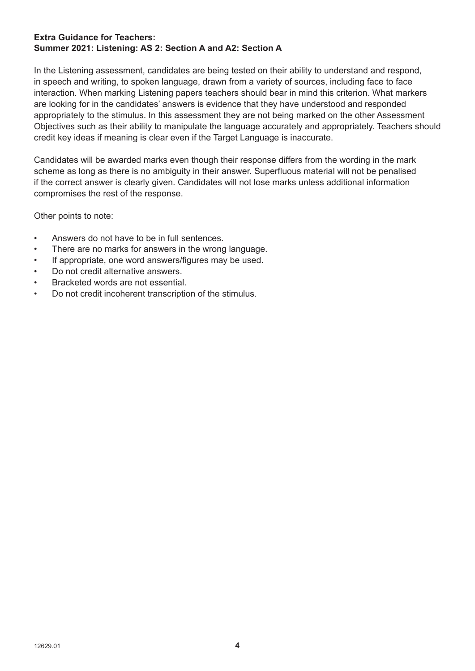#### **Extra Guidance for Teachers: Summer 2021: Listening: AS 2: Section A and A2: Section A**

In the Listening assessment, candidates are being tested on their ability to understand and respond, in speech and writing, to spoken language, drawn from a variety of sources, including face to face interaction. When marking Listening papers teachers should bear in mind this criterion. What markers are looking for in the candidates' answers is evidence that they have understood and responded appropriately to the stimulus. In this assessment they are not being marked on the other Assessment Objectives such as their ability to manipulate the language accurately and appropriately. Teachers should credit key ideas if meaning is clear even if the Target Language is inaccurate.

Candidates will be awarded marks even though their response differs from the wording in the mark scheme as long as there is no ambiguity in their answer. Superfluous material will not be penalised if the correct answer is clearly given. Candidates will not lose marks unless additional information compromises the rest of the response.

Other points to note:

- Answers do not have to be in full sentences.
- There are no marks for answers in the wrong language.
- If appropriate, one word answers/figures may be used.
- Do not credit alternative answers.
- Bracketed words are not essential.
- Do not credit incoherent transcription of the stimulus.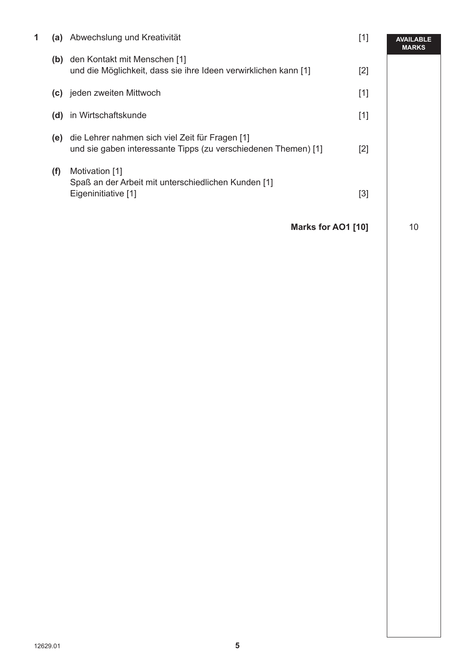| 1 |     | (a) Abwechslung und Kreativität                                                                                       | $[1]$ | <b>AVAILABLE</b><br><b>MARKS</b> |
|---|-----|-----------------------------------------------------------------------------------------------------------------------|-------|----------------------------------|
|   |     | (b) den Kontakt mit Menschen [1]<br>und die Möglichkeit, dass sie ihre Ideen verwirklichen kann [1]                   | $[2]$ |                                  |
|   |     | (c) jeden zweiten Mittwoch                                                                                            | $[1]$ |                                  |
|   | (d) | in Wirtschaftskunde                                                                                                   | $[1]$ |                                  |
|   |     | (e) die Lehrer nahmen sich viel Zeit für Fragen [1]<br>und sie gaben interessante Tipps (zu verschiedenen Themen) [1] | $[2]$ |                                  |
|   | (f) | Motivation [1]<br>Spaß an der Arbeit mit unterschiedlichen Kunden [1]<br>Eigeninitiative [1]                          | $[3]$ |                                  |
|   |     | Marks for AO1 [10]                                                                                                    |       | 10                               |
|   |     |                                                                                                                       |       |                                  |
|   |     |                                                                                                                       |       |                                  |